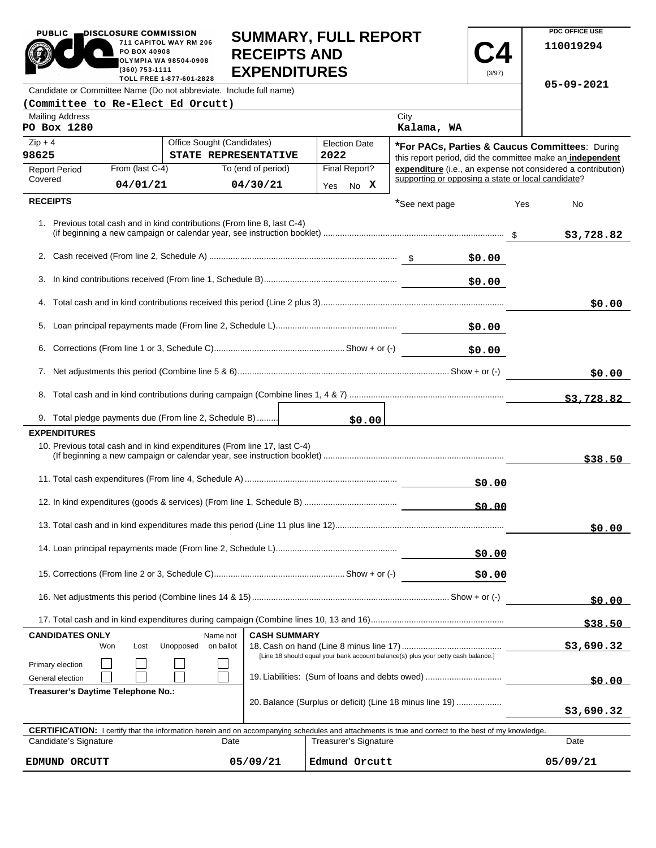|                                                                                                                                                            | PO BOX 40908<br>(360) 753-1111 | 711 CAPITOL WAY RM 206<br>OLYMPIA WA 98504-0908<br>TOLL FREE 1-877-601-2828 | <b>RECEIPTS AND</b><br><b>EXPENDITURES</b>                                | SUMMARY, FULL REPORT                                                                                                      |                                                           | (3/97) |     | 110019294<br>05-09-2021 |
|------------------------------------------------------------------------------------------------------------------------------------------------------------|--------------------------------|-----------------------------------------------------------------------------|---------------------------------------------------------------------------|---------------------------------------------------------------------------------------------------------------------------|-----------------------------------------------------------|--------|-----|-------------------------|
| Candidate or Committee Name (Do not abbreviate. Include full name)                                                                                         |                                |                                                                             |                                                                           |                                                                                                                           |                                                           |        |     |                         |
| (Committee to Re-Elect Ed Orcutt)<br><b>Mailing Address</b>                                                                                                |                                |                                                                             |                                                                           |                                                                                                                           | City                                                      |        |     |                         |
| PO Box 1280                                                                                                                                                |                                |                                                                             |                                                                           |                                                                                                                           | Kalama, WA                                                |        |     |                         |
| Office Sought (Candidates)<br>$Zip + 4$                                                                                                                    |                                |                                                                             |                                                                           | <b>Election Date</b>                                                                                                      | <b>*For PACs, Parties &amp; Caucus Committees: During</b> |        |     |                         |
| 98625<br>STATE REPRESENTATIVE                                                                                                                              |                                |                                                                             | 2022                                                                      | this report period, did the committee make an independent<br>expenditure (i.e., an expense not considered a contribution) |                                                           |        |     |                         |
| <b>Report Period</b><br>Covered                                                                                                                            | From (last C-4)<br>04/01/21    |                                                                             | To (end of period)<br>04/30/21                                            | Final Report?                                                                                                             | supporting or opposing a state or local candidate?        |        |     |                         |
|                                                                                                                                                            |                                |                                                                             |                                                                           | Yes No X                                                                                                                  |                                                           |        |     |                         |
| <b>RECEIPTS</b>                                                                                                                                            |                                |                                                                             |                                                                           |                                                                                                                           | *See next page                                            |        | Yes | No                      |
|                                                                                                                                                            |                                |                                                                             | 1. Previous total cash and in kind contributions (From line 8, last C-4)  |                                                                                                                           |                                                           |        |     | \$3,728.82              |
|                                                                                                                                                            |                                |                                                                             |                                                                           |                                                                                                                           |                                                           | \$0.00 |     |                         |
| 3.                                                                                                                                                         |                                |                                                                             |                                                                           |                                                                                                                           |                                                           | \$0.00 |     |                         |
|                                                                                                                                                            |                                |                                                                             |                                                                           |                                                                                                                           |                                                           |        |     |                         |
|                                                                                                                                                            |                                |                                                                             |                                                                           |                                                                                                                           |                                                           |        |     | \$0.00                  |
|                                                                                                                                                            |                                |                                                                             |                                                                           |                                                                                                                           |                                                           | \$0.00 |     |                         |
| 6.                                                                                                                                                         |                                |                                                                             |                                                                           |                                                                                                                           |                                                           | \$0.00 |     |                         |
|                                                                                                                                                            |                                |                                                                             |                                                                           |                                                                                                                           |                                                           |        |     | \$0.00                  |
|                                                                                                                                                            |                                |                                                                             |                                                                           |                                                                                                                           |                                                           |        |     | \$3,728.82              |
| 9. Total pledge payments due (From line 2, Schedule B)                                                                                                     |                                |                                                                             |                                                                           | \$0.00                                                                                                                    |                                                           |        |     |                         |
| <b>EXPENDITURES</b>                                                                                                                                        |                                |                                                                             |                                                                           |                                                                                                                           |                                                           |        |     |                         |
|                                                                                                                                                            |                                |                                                                             | 10. Previous total cash and in kind expenditures (From line 17, last C-4) |                                                                                                                           |                                                           |        |     | \$38.50                 |
|                                                                                                                                                            |                                |                                                                             |                                                                           |                                                                                                                           |                                                           | \$0.00 |     |                         |
| 50.00                                                                                                                                                      |                                |                                                                             |                                                                           |                                                                                                                           |                                                           |        |     |                         |
|                                                                                                                                                            |                                |                                                                             |                                                                           |                                                                                                                           |                                                           |        |     | \$0.00                  |
|                                                                                                                                                            |                                |                                                                             |                                                                           |                                                                                                                           |                                                           | \$0.00 |     |                         |
|                                                                                                                                                            |                                |                                                                             |                                                                           |                                                                                                                           |                                                           | \$0.00 |     |                         |
|                                                                                                                                                            |                                |                                                                             |                                                                           |                                                                                                                           |                                                           |        |     | \$0.00                  |
|                                                                                                                                                            |                                |                                                                             |                                                                           |                                                                                                                           |                                                           |        |     | \$38.50                 |
| <b>CANDIDATES ONLY</b><br>Won                                                                                                                              | Lost                           | Name not<br>Unopposed<br>on ballot                                          | <b>CASH SUMMARY</b>                                                       |                                                                                                                           |                                                           |        |     | \$3,690.32              |
|                                                                                                                                                            |                                |                                                                             |                                                                           | [Line 18 should equal your bank account balance(s) plus your petty cash balance.]                                         |                                                           |        |     |                         |
| Primary election<br>General election                                                                                                                       |                                |                                                                             |                                                                           | 19. Liabilities: (Sum of loans and debts owed)                                                                            |                                                           |        |     |                         |
| Treasurer's Daytime Telephone No.:                                                                                                                         |                                |                                                                             |                                                                           |                                                                                                                           |                                                           |        |     | \$0.00                  |
|                                                                                                                                                            |                                |                                                                             |                                                                           | 20. Balance (Surplus or deficit) (Line 18 minus line 19)                                                                  |                                                           |        |     | \$3,690.32              |
| <b>CERTIFICATION:</b> I certify that the information herein and on accompanying schedules and attachments is true and correct to the best of my knowledge. |                                |                                                                             |                                                                           |                                                                                                                           |                                                           |        |     |                         |
| Candidate's Signature                                                                                                                                      |                                |                                                                             | Date                                                                      | <b>Treasurer's Signature</b>                                                                                              |                                                           |        |     | Date                    |

**SUMMARY, FULL REPORT** 

**PDC OFFICE USE** 

05/09/21

PUBLIC **DISCLOSURE COMMISSION** 

**EDMUND ORCUTT 05/09/21 Edmund Orcutt 05/09/21**